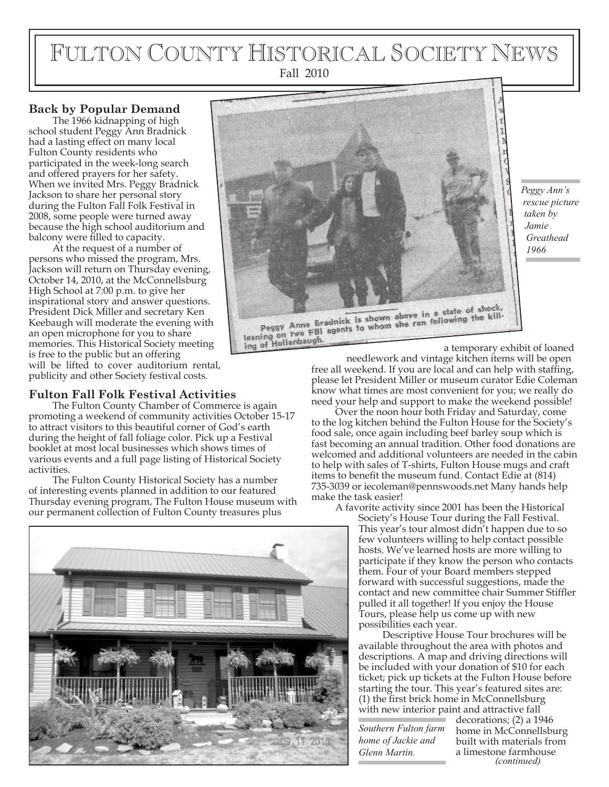# FULTON COUNTY HISTORICAL SOCIETY NEWS Fall 2010

#### **Back by Popular Demand**

The 1966 kidnapping of high school student Peggy Ann Bradnick had a lasting effect on many local Fulton County residents who participated in the week-long search and offered prayers for her safety. When we invited Mrs. Peggy Bradnick Jackson to share her personal story during the Fulton Fall Folk Festival in 2008, some people were turned away because the high school auditorium and balcony were filled to capacity.

At the request of a number of persons who missed the program, Mrs. Jackson will return on Thursday evening, October 14, 2010, at the McConnellsburg High School at 7:00 p.m. to give her inspirational story and answer questions. President Dick Miller and secretary Ken Keebaugh will moderate the evening with an open microphone for you to share memories. This Historical Society meeting is free to the public but an offering will be lifted to cover auditorium rental, publicity and other Society festival costs.

#### **Fulton Fall Folk Festival Activities**

The Fulton County Chamber of Commerce is again promoting a weekend of community activities October 15-17 to attract visitors to this beautiful corner of God's earth during the height of fall foliage color. Pick up a Festival booklet at most local businesses which shows times of various events and a full page listing of Historical Society activities.

The Fulton County Historical Society has a number of interesting events planned in addition to our featured Thursday evening program, The Fulton House museum with our permanent collection of Fulton County treasures plus





*Peggy Ann's rescue picture taken by Jamie Greathead 1966*

needlework and vintage kitchen items will be open free all weekend. If you are local and can help with staffing, please let President Miller or museum curator Edie Coleman know what times are most convenient for you; we really do need your help and support to make the weekend possible!

Over the noon hour both Friday and Saturday, come to the log kitchen behind the Fulton House for the Society's food sale, once again including beef barley soup which is fast becoming an annual tradition. Other food donations are welcomed and additional volunteers are needed in the cabin to help with sales of T-shirts, Fulton House mugs and craft items to benefit the museum fund. Contact Edie at (814) 735-3039 or iecoleman@pennswoods.net Many hands help make the task easier!

A favorite activity since 2001 has been the Historical

Society's House Tour during the Fall Festival. This year's tour almost didn't happen due to so few volunteers willing to help contact possible hosts. We've learned hosts are more willing to participate if they know the person who contacts them. Four of your Board members stepped forward with successful suggestions, made the contact and new committee chair Summer Stiffler pulled it all together! If you enjoy the House Tours, please help us come up with new possibilities each year.

Descriptive House Tour brochures will be available throughout the area with photos and descriptions. A map and driving directions will be included with your donation of \$10 for each ticket; pick up tickets at the Fulton House before starting the tour. This year's featured sites are:  $(1)$  the first brick home in McConnellsburg with new interior paint and attractive fall

*Southern Fulton farm home of Jackie and Glenn Martin.*

*(continued)* decorations; (2) a 1946 home in McConnellsburg built with materials from a limestone farmhouse